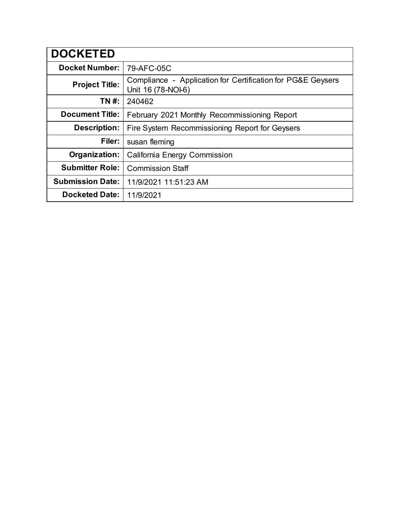| <b>DOCKETED</b>         |                                                                                   |
|-------------------------|-----------------------------------------------------------------------------------|
| <b>Docket Number:</b>   | 79-AFC-05C                                                                        |
| <b>Project Title:</b>   | Compliance - Application for Certification for PG&E Geysers<br>Unit 16 (78-NOI-6) |
| TN #:                   | 240462                                                                            |
| <b>Document Title:</b>  | February 2021 Monthly Recommissioning Report                                      |
| <b>Description:</b>     | Fire System Recommissioning Report for Geysers                                    |
| Filer:                  | susan fleming                                                                     |
| Organization:           | <b>California Energy Commission</b>                                               |
| <b>Submitter Role:</b>  | <b>Commission Staff</b>                                                           |
| <b>Submission Date:</b> | 11/9/2021 11:51:23 AM                                                             |
| <b>Docketed Date:</b>   | 11/9/2021                                                                         |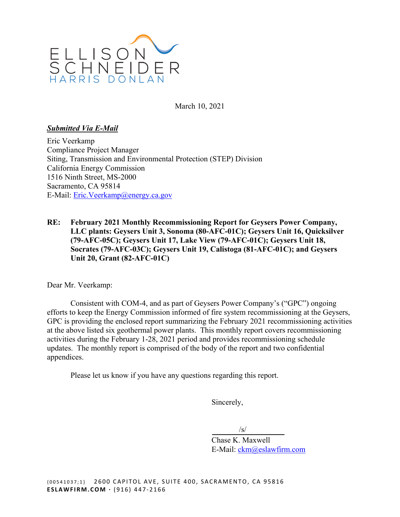

March 10, 2021

#### *Submitted Via E-Mail*

Eric Veerkamp Compliance Project Manager Siting, Transmission and Environmental Protection (STEP) Division California Energy Commission 1516 Ninth Street, MS-2000 Sacramento, CA 95814 E-Mail: [Eric.Veerkamp@energy.ca.gov](mailto:Eric.Veerkamp@energy.ca.gov) 

**RE: February 2021 Monthly Recommissioning Report for Geysers Power Company, LLC plants: Geysers Unit 3, Sonoma (80-AFC-01C); Geysers Unit 16, Quicksilver (79-AFC-05C); Geysers Unit 17, Lake View (79-AFC-01C); Geysers Unit 18, Socrates (79-AFC-03C); Geysers Unit 19, Calistoga (81-AFC-01C); and Geysers Unit 20, Grant (82-AFC-01C)** 

Dear Mr. Veerkamp:

Consistent with COM-4, and as part of Geysers Power Company's ("GPC") ongoing efforts to keep the Energy Commission informed of fire system recommissioning at the Geysers, GPC is providing the enclosed report summarizing the February 2021 recommissioning activities at the above listed six geothermal power plants. This monthly report covers recommissioning activities during the February 1-28, 2021 period and provides recommissioning schedule updates. The monthly report is comprised of the body of the report and two confidential appendices.

Please let us know if you have any questions regarding this report.

Sincerely,

 $\sqrt{s/}$ 

Chase K. Maxwell E-Mail: [ckm@eslawfirm.com](mailto:ckm@eslawfirm.com)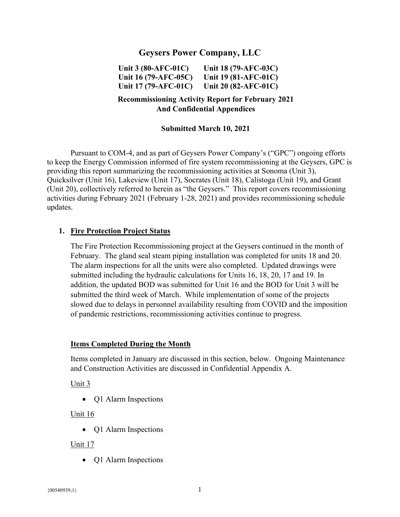# **Geysers Power Company, LLC**

**Unit 3 (80-AFC-01C) Unit 18 (79-AFC-03C) Unit 16 (79-AFC-05C) Unit 19 (81-AFC-01C) Unit 17 (79-AFC-01C) Unit 20 (82-AFC-01C)** 

### **Recommissioning Activity Report for February 2021 And Confidential Appendices**

#### **Submitted March 10, 2021**

Pursuant to COM-4, and as part of Geysers Power Company's ("GPC") ongoing efforts to keep the Energy Commission informed of fire system recommissioning at the Geysers, GPC is providing this report summarizing the recommissioning activities at Sonoma (Unit 3), Quicksilver (Unit 16), Lakeview (Unit 17), Socrates (Unit 18), Calistoga (Unit 19), and Grant (Unit 20), collectively referred to herein as "the Geysers." This report covers recommissioning activities during February 2021 (February 1-28, 2021) and provides recommissioning schedule updates.

#### **1. Fire Protection Project Status**

The Fire Protection Recommissioning project at the Geysers continued in the month of February. The gland seal steam piping installation was completed for units 18 and 20. The alarm inspections for all the units were also completed. Updated drawings were submitted including the hydraulic calculations for Units 16, 18, 20, 17 and 19. In addition, the updated BOD was submitted for Unit 16 and the BOD for Unit 3 will be submitted the third week of March. While implementation of some of the projects slowed due to delays in personnel availability resulting from COVID and the imposition of pandemic restrictions, recommissioning activities continue to progress.

#### **Items Completed During the Month**

Items completed in January are discussed in this section, below. Ongoing Maintenance and Construction Activities are discussed in Confidential Appendix A.

Unit 3

• Q1 Alarm Inspections

#### Unit 16

• O1 Alarm Inspections

#### Unit 17

• Q1 Alarm Inspections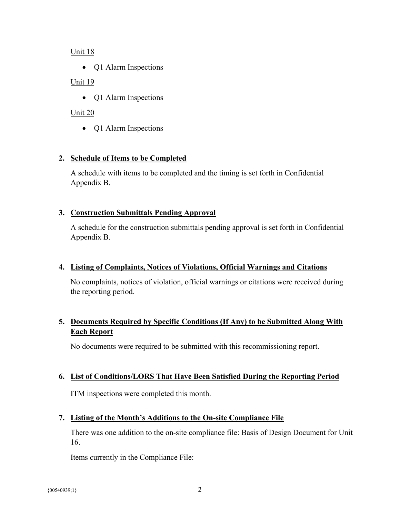Unit 18

• Q1 Alarm Inspections

### Unit 19

• Q1 Alarm Inspections

## Unit 20

• Q1 Alarm Inspections

## **2. Schedule of Items to be Completed**

A schedule with items to be completed and the timing is set forth in Confidential Appendix B.

## **3. Construction Submittals Pending Approval**

A schedule for the construction submittals pending approval is set forth in Confidential Appendix B.

#### **4. Listing of Complaints, Notices of Violations, Official Warnings and Citations**

No complaints, notices of violation, official warnings or citations were received during the reporting period.

# **Each Report 5. Documents Required by Specific Conditions (If Any) to be Submitted Along With**

No documents were required to be submitted with this recommissioning report.

#### **6. List of Conditions/LORS That Have Been Satisfied During the Reporting Period**

ITM inspections were completed this month.

# **7. Listing of the Month's Additions to the On-site Compliance File**

There was one addition to the on-site compliance file: Basis of Design Document for Unit 16.

Items currently in the Compliance File: